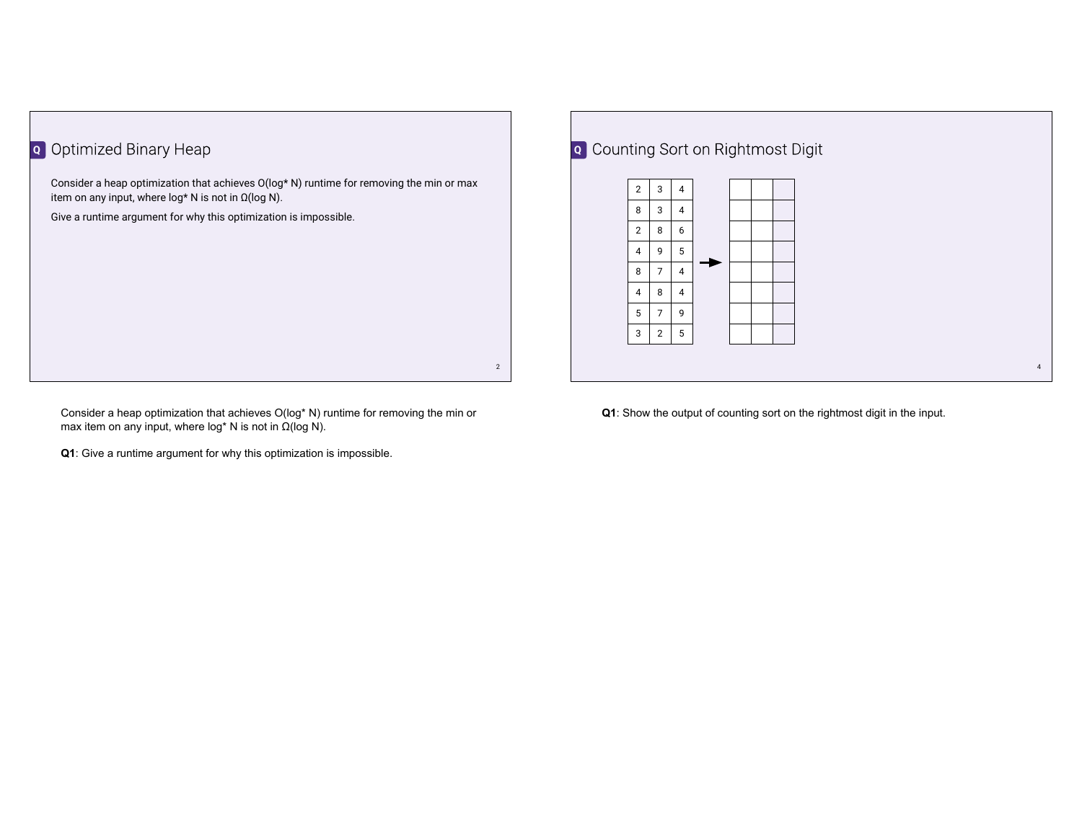## **Q** Optimized Binary Heap

Consider a heap optimization that achieves O(log\* N) runtime for removing the min or max item on any input, where  $log*$  N is not in  $\Omega(log N)$ .

Give a runtime argument for why this optimization is impossible.

2 Consider a heap optimization that achieves O(log\* N) runtime for removing the min or max item on any input, where log\* N is not in  $Ω(log N)$ .

**Q1**: Give a runtime argument for why this optimization is impossible.

## 4 **Q** Counting Sort on Rightmost Digit  $2 \mid 3 \mid 4$  $8 \mid 3 \mid 4$  $2 \mid 8 \mid 6$  $4 \mid 9 \mid 5$  $8 \mid 7 \mid 4$  $4 \mid 8 \mid 4$  $5 \mid 7 \mid 9$  $3 \mid 2 \mid 5$

**Q1**: Show the output of counting sort on the rightmost digit in the input.